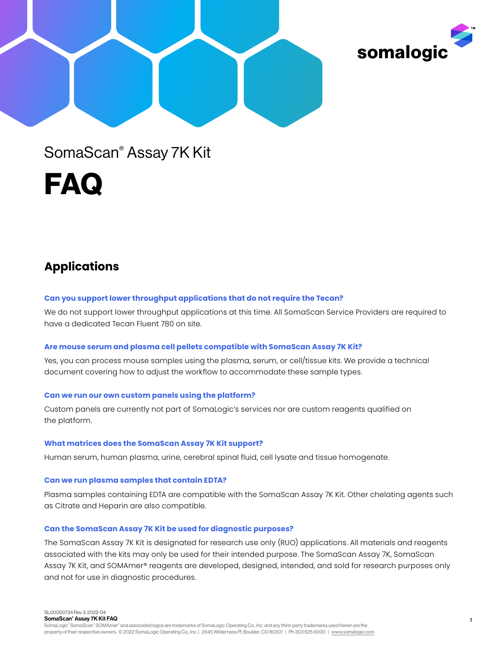



# SomaScan® Assay 7K Kit

FAQ

# **Applications**

# **Can you support lower throughput applications that do not require the Tecan?**

We do not support lower throughput applications at this time. All SomaScan Service Providers are required to have a dedicated Tecan Fluent 780 on site.

# **Are mouse serum and plasma cell pellets compatible with SomaScan Assay 7K Kit?**

Yes, you can process mouse samples using the plasma, serum, or cell/tissue kits. We provide a technical document covering how to adjust the workflow to accommodate these sample types.

# **Can we run our own custom panels using the platform?**

Custom panels are currently not part of SomaLogic's services nor are custom reagents qualified on the platform.

# **What matrices does the SomaScan Assay 7K Kit support?**

Human serum, human plasma, urine, cerebral spinal fluid, cell lysate and tissue homogenate.

# **Can we run plasma samples that contain EDTA?**

Plasma samples containing EDTA are compatible with the SomaScan Assay 7K Kit. Other chelating agents such as Citrate and Heparin are also compatible.

# **Can the SomaScan Assay 7K Kit be used for diagnostic purposes?**

The SomaScan Assay 7K Kit is designated for research use only (RUO) applications. All materials and reagents associated with the kits may only be used for their intended purpose. The SomaScan Assay 7K, SomaScan Assay 7K Kit, and SOMAmer® reagents are developed, designed, intended, and sold for research purposes only and not for use in diagnostic procedures.

SL00000724 Rev 3: 2022-04 SomaScan® Assay 7K Kit FAQ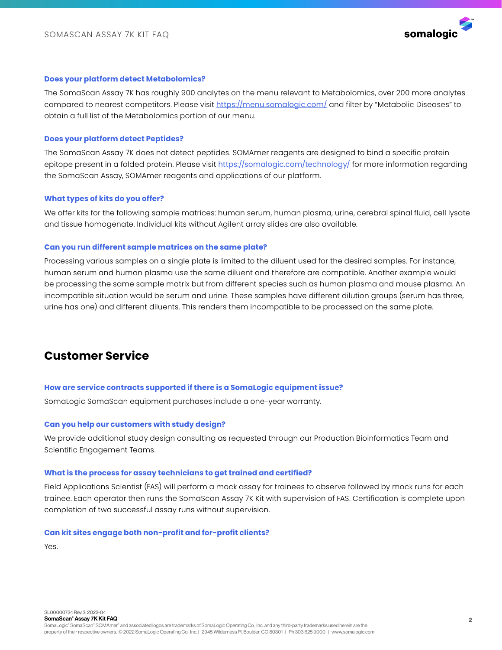

# **Does your platform detect Metabolomics?**

The SomaScan Assay 7K has roughly 900 analytes on the menu relevant to Metabolomics, over 200 more analytes compared to nearest competitors. Please visit <https://menu.somalogic.com/> and filter by "Metabolic Diseases" to obtain a full list of the Metabolomics portion of our menu.

# **Does your platform detect Peptides?**

The SomaScan Assay 7K does not detect peptides. SOMAmer reagents are designed to bind a specific protein epitope present in a folded protein. Please visit <https://somalogic.com/technology/> for more information regarding the SomaScan Assay, SOMAmer reagents and applications of our platform.

# **What types of kits do you offer?**

We offer kits for the following sample matrices: human serum, human plasma, urine, cerebral spinal fluid, cell lysate and tissue homogenate. Individual kits without Agilent array slides are also available.

# **Can you run different sample matrices on the same plate?**

Processing various samples on a single plate is limited to the diluent used for the desired samples. For instance, human serum and human plasma use the same diluent and therefore are compatible. Another example would be processing the same sample matrix but from different species such as human plasma and mouse plasma. An incompatible situation would be serum and urine. These samples have different dilution groups (serum has three, urine has one) and different diluents. This renders them incompatible to be processed on the same plate.

# **Customer Service**

# **How are service contracts supported if there is a SomaLogic equipment issue?**

SomaLogic SomaScan equipment purchases include a one-year warranty.

# **Can you help our customers with study design?**

We provide additional study design consulting as requested through our Production Bioinformatics Team and Scientific Engagement Teams.

# **What is the process for assay technicians to get trained and certified?**

Field Applications Scientist (FAS) will perform a mock assay for trainees to observe followed by mock runs for each trainee. Each operator then runs the SomaScan Assay 7K Kit with supervision of FAS. Certification is complete upon completion of two successful assay runs without supervision.

# **Can kit sites engage both non-profit and for-profit clients?**

Yes.

SL00000724 Rev 3: 2022-04 SomaScan® Assay 7K Kit FAQ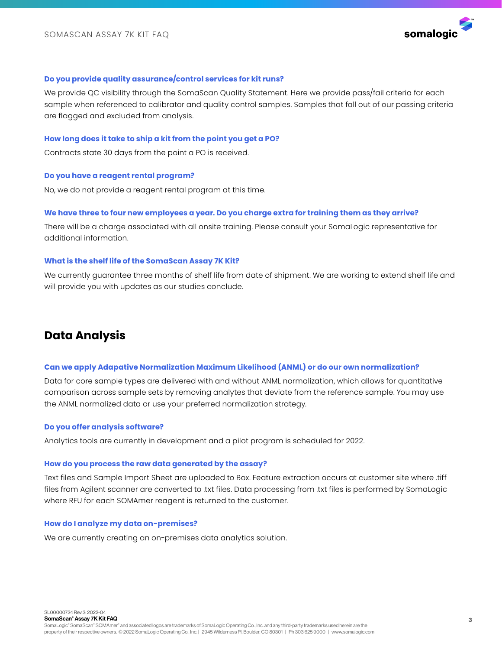

# **Do you provide quality assurance/control services for kit runs?**

We provide QC visibility through the SomaScan Quality Statement. Here we provide pass/fail criteria for each sample when referenced to calibrator and quality control samples. Samples that fall out of our passing criteria are flagged and excluded from analysis.

#### **How long does it take to ship a kit from the point you get a PO?**

Contracts state 30 days from the point a PO is received.

# **Do you have a reagent rental program?**

No, we do not provide a reagent rental program at this time.

# **We have three to four new employees a year. Do you charge extra for training them as they arrive?**

There will be a charge associated with all onsite training. Please consult your SomaLogic representative for additional information.

# **What is the shelf life of the SomaScan Assay 7K Kit?**

We currently guarantee three months of shelf life from date of shipment. We are working to extend shelf life and will provide you with updates as our studies conclude.

# **Data Analysis**

### **Can we apply Adapative Normalization Maximum Likelihood (ANML) or do our own normalization?**

Data for core sample types are delivered with and without ANML normalization, which allows for quantitative comparison across sample sets by removing analytes that deviate from the reference sample. You may use the ANML normalized data or use your preferred normalization strategy.

#### **Do you offer analysis software?**

Analytics tools are currently in development and a pilot program is scheduled for 2022.

#### **How do you process the raw data generated by the assay?**

Text files and Sample Import Sheet are uploaded to Box. Feature extraction occurs at customer site where .tiff files from Agilent scanner are converted to .txt files. Data processing from .txt files is performed by SomaLogic where RFU for each SOMAmer reagent is returned to the customer.

# **How do I analyze my data on-premises?**

We are currently creating an on-premises data analytics solution.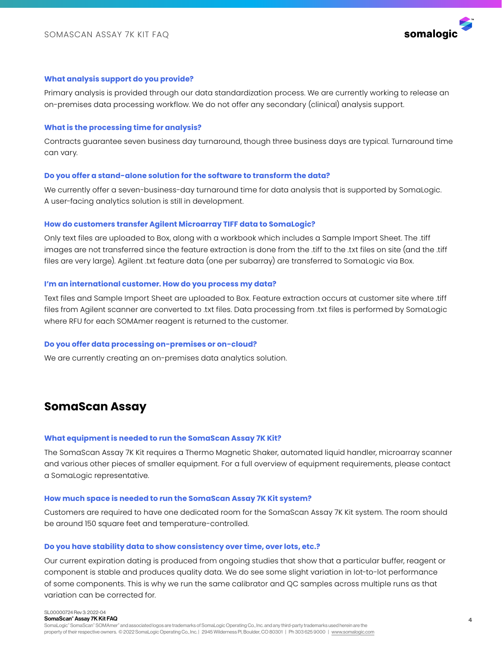

# **What analysis support do you provide?**

Primary analysis is provided through our data standardization process. We are currently working to release an on-premises data processing workflow. We do not offer any secondary (clinical) analysis support.

#### **What is the processing time for analysis?**

Contracts guarantee seven business day turnaround, though three business days are typical. Turnaround time can vary.

# **Do you offer a stand-alone solution for the software to transform the data?**

We currently offer a seven-business-day turnaround time for data analysis that is supported by SomaLogic. A user-facing analytics solution is still in development.

#### **How do customers transfer Agilent Microarray TIFF data to SomaLogic?**

Only text files are uploaded to Box, along with a workbook which includes a Sample Import Sheet. The .tiff images are not transferred since the feature extraction is done from the .tiff to the .txt files on site (and the .tiff files are very large). Agilent .txt feature data (one per subarray) are transferred to SomaLogic via Box.

# **I'm an international customer. How do you process my data?**

Text files and Sample Import Sheet are uploaded to Box. Feature extraction occurs at customer site where .tiff files from Agilent scanner are converted to .txt files. Data processing from .txt files is performed by SomaLogic where RFU for each SOMAmer reagent is returned to the customer.

# **Do you offer data processing on-premises or on-cloud?**

We are currently creating an on-premises data analytics solution.

# **SomaScan Assay**

#### **What equipment is needed to run the SomaScan Assay 7K Kit?**

The SomaScan Assay 7K Kit requires a Thermo Magnetic Shaker, automated liquid handler, microarray scanner and various other pieces of smaller equipment. For a full overview of equipment requirements, please contact a SomaLogic representative.

#### **How much space is needed to run the SomaScan Assay 7K Kit system?**

Customers are required to have one dedicated room for the SomaScan Assay 7K Kit system. The room should be around 150 square feet and temperature-controlled.

#### **Do you have stability data to show consistency over time, over lots, etc.?**

Our current expiration dating is produced from ongoing studies that show that a particular buffer, reagent or component is stable and produces quality data. We do see some slight variation in lot-to-lot performance of some components. This is why we run the same calibrator and QC samples across multiple runs as that variation can be corrected for.